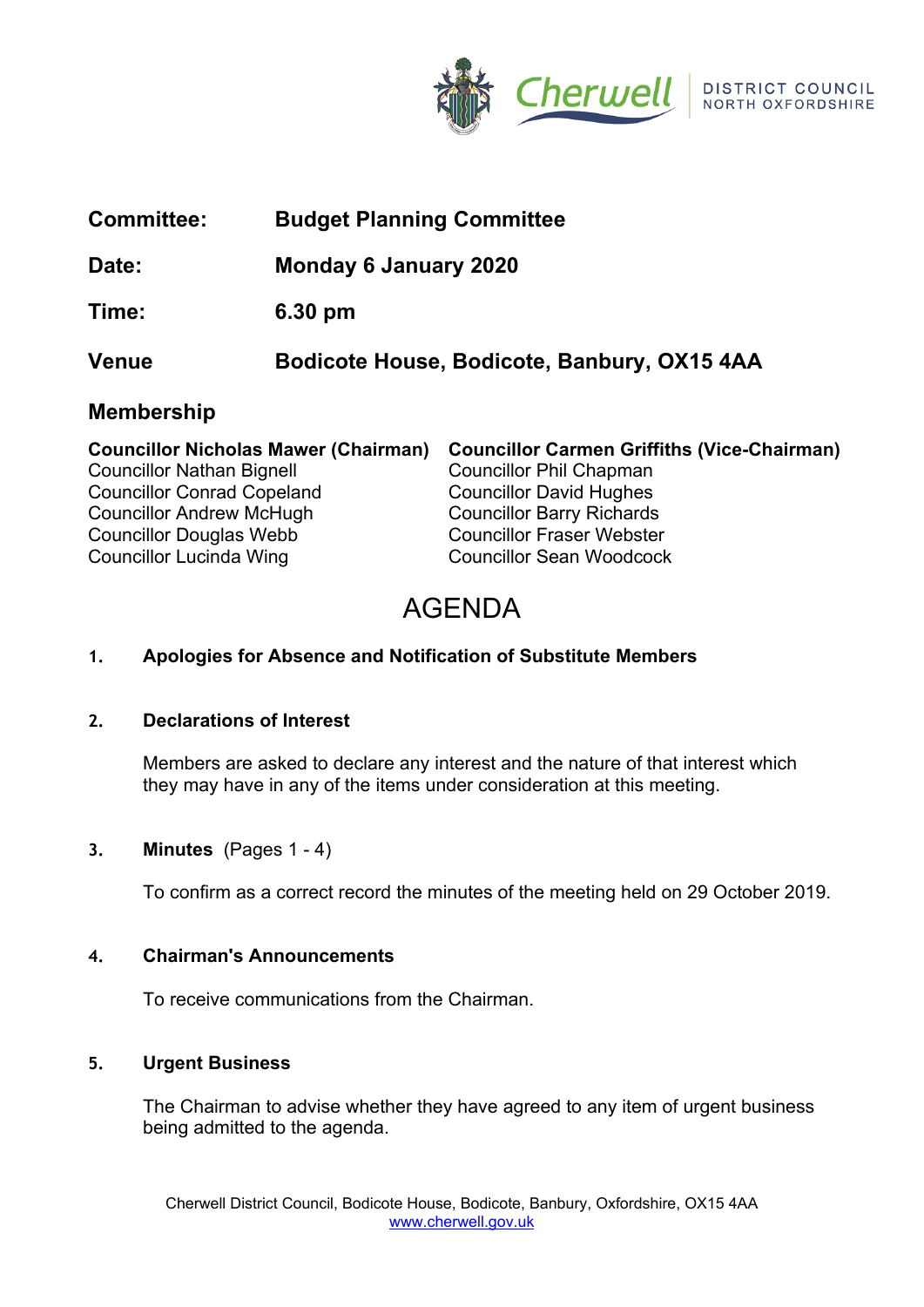

| <b>Committee:</b> | <b>Budget Planning Committee</b>            |
|-------------------|---------------------------------------------|
| Date:             | <b>Monday 6 January 2020</b>                |
| Time:             | 6.30 pm                                     |
| <b>Venue</b>      | Bodicote House, Bodicote, Banbury, OX15 4AA |
| <b>Membership</b> |                                             |
|                   |                                             |

|                                   | Councillor Nicholas Mawer (Chairman) Councillor Carmen Griffiths (Vice-Chairman) |
|-----------------------------------|----------------------------------------------------------------------------------|
| <b>Councillor Nathan Bignell</b>  | <b>Councillor Phil Chapman</b>                                                   |
| <b>Councillor Conrad Copeland</b> | <b>Councillor David Hughes</b>                                                   |
| <b>Councillor Andrew McHugh</b>   | <b>Councillor Barry Richards</b>                                                 |
| <b>Councillor Douglas Webb</b>    | <b>Councillor Fraser Webster</b>                                                 |
| <b>Councillor Lucinda Wing</b>    | <b>Councillor Sean Woodcock</b>                                                  |

# AGENDA

# **1. Apologies for Absence and Notification of Substitute Members**

### **2. Declarations of Interest**

Members are asked to declare any interest and the nature of that interest which they may have in any of the items under consideration at this meeting.

# **3. Minutes** (Pages 1 - 4)

To confirm as a correct record the minutes of the meeting held on 29 October 2019.

### **4. Chairman's Announcements**

To receive communications from the Chairman.

### **5. Urgent Business**

The Chairman to advise whether they have agreed to any item of urgent business being admitted to the agenda.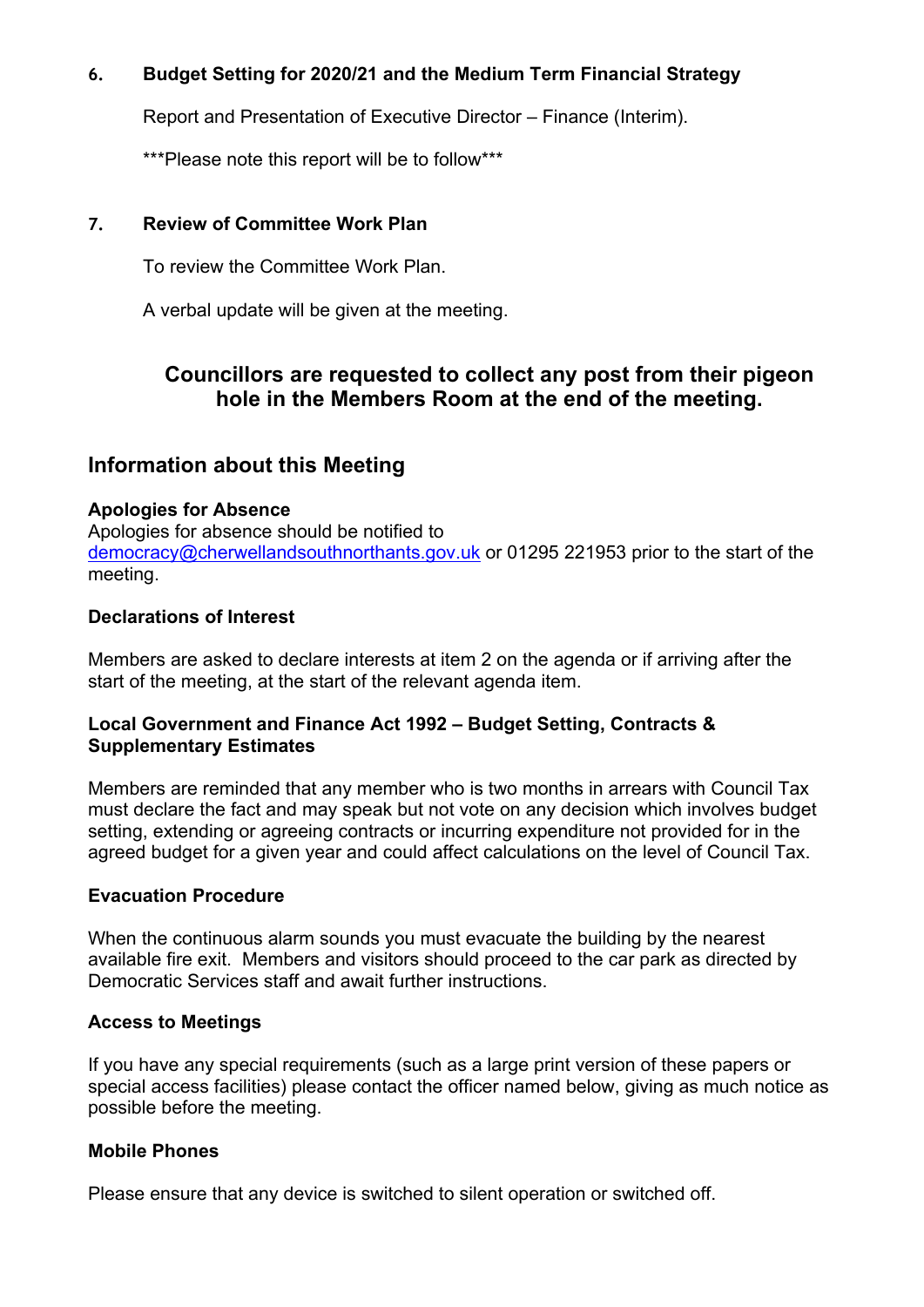# **6. Budget Setting for 2020/21 and the Medium Term Financial Strategy**

Report and Presentation of Executive Director – Finance (Interim).

\*\*\*Please note this report will be to follow\*\*\*

### **7. Review of Committee Work Plan**

To review the Committee Work Plan.

A verbal update will be given at the meeting.

# **Councillors are requested to collect any post from their pigeon hole in the Members Room at the end of the meeting.**

# **Information about this Meeting**

### **Apologies for Absence**

Apologies for absence should be notified to [democracy@cherwellandsouthnorthants.gov.uk](mailto:democracy@cherwell-dc.gov.uk) or 01295 221953 prior to the start of the meeting.

### **Declarations of Interest**

Members are asked to declare interests at item 2 on the agenda or if arriving after the start of the meeting, at the start of the relevant agenda item.

### **Local Government and Finance Act 1992 – Budget Setting, Contracts & Supplementary Estimates**

Members are reminded that any member who is two months in arrears with Council Tax must declare the fact and may speak but not vote on any decision which involves budget setting, extending or agreeing contracts or incurring expenditure not provided for in the agreed budget for a given year and could affect calculations on the level of Council Tax.

### **Evacuation Procedure**

When the continuous alarm sounds you must evacuate the building by the nearest available fire exit. Members and visitors should proceed to the car park as directed by Democratic Services staff and await further instructions.

### **Access to Meetings**

If you have any special requirements (such as a large print version of these papers or special access facilities) please contact the officer named below, giving as much notice as possible before the meeting.

# **Mobile Phones**

Please ensure that any device is switched to silent operation or switched off.